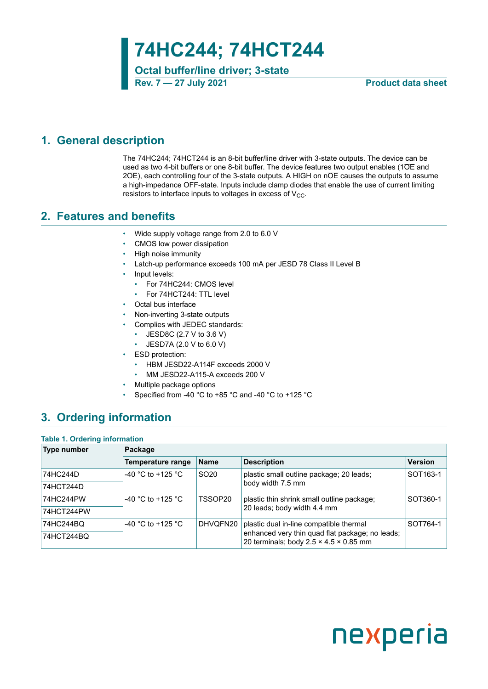**74HC244; 74HCT244**

**Octal buffer/line driver; 3-state Rev. 7 — 27 July 2021 Product data sheet**

### <span id="page-0-1"></span>**1. General description**

The 74HC244; 74HCT244 is an 8-bit buffer/line driver with 3-state outputs. The device can be used as two 4-bit buffers or one 8-bit buffer. The device features two output enables (1OE and 2OE), each controlling four of the 3-state outputs. A HIGH on nOE causes the outputs to assume a high-impedance OFF-state. Inputs include clamp diodes that enable the use of current limiting resistors to interface inputs to voltages in excess of  $V_{CC}$ .

### <span id="page-0-0"></span>**2. Features and benefits**

- Wide supply voltage range from 2.0 to 6.0 V
- CMOS low power dissipation
- High noise immunity
- Latch-up performance exceeds 100 mA per JESD 78 Class II Level B
- Input levels:
	- For 74HC244: CMOS level
	- For 74HCT244: TTL level
- Octal bus interface
- Non-inverting 3-state outputs
- Complies with JEDEC standards:
	- JESD8C (2.7 V to 3.6 V)
	- JESD7A (2.0 V to 6.0 V)
- ESD protection:
	- HBM JESD22-A114F exceeds 2000 V
	- MM JESD22-A115-A exceeds 200 V
- Multiple package options
- Specified from -40 °C to +85 °C and -40 °C to +125 °C

## <span id="page-0-2"></span>**3. Ordering information**

#### **Table 1. Ordering information**

| Type number | Package           |                  |                                                                                                       |                      |  |  |  |
|-------------|-------------------|------------------|-------------------------------------------------------------------------------------------------------|----------------------|--|--|--|
|             | Temperature range | <b>Name</b>      | <b>Description</b>                                                                                    | <b>Version</b>       |  |  |  |
| 74HC244D    | -40 °C to +125 °C | SO <sub>20</sub> | plastic small outline package; 20 leads;                                                              | SOT <sub>163-1</sub> |  |  |  |
| 74HCT244D   |                   |                  | body width 7.5 mm                                                                                     |                      |  |  |  |
| 74HC244PW   | -40 °C to +125 °C | TSSOP20          | plastic thin shrink small outline package;                                                            | SOT360-1             |  |  |  |
| 74HCT244PW  |                   |                  | 20 leads; body width 4.4 mm                                                                           |                      |  |  |  |
| 74HC244BQ   | -40 °C to +125 °C | DHVQFN20         | plastic dual in-line compatible thermal                                                               | SOT764-1             |  |  |  |
| 74HCT244BQ  |                   |                  | enhanced very thin quad flat package; no leads;<br>20 terminals; body $2.5 \times 4.5 \times 0.85$ mm |                      |  |  |  |

# nexperia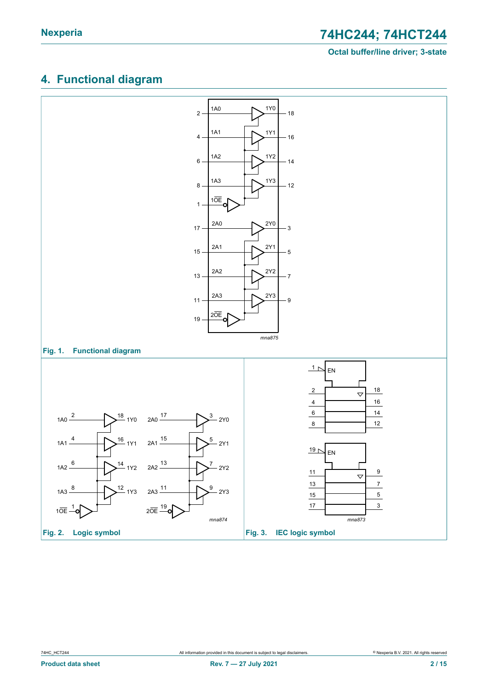# <span id="page-1-0"></span>**4. Functional diagram**

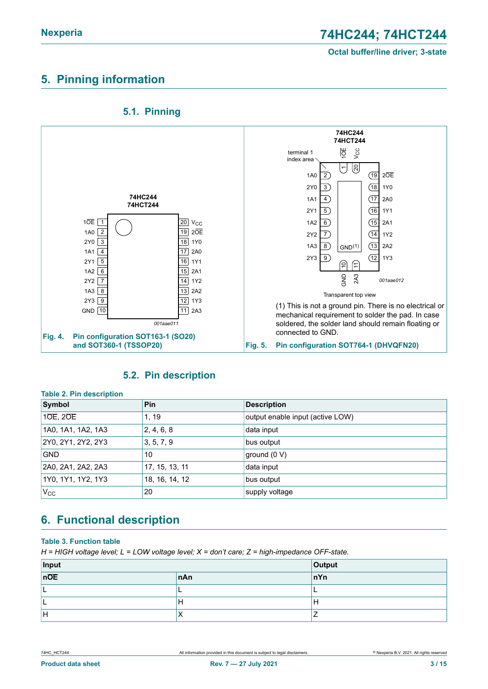### <span id="page-2-0"></span>**5. Pinning information**



### <span id="page-2-1"></span>**5.1. Pinning**

### <span id="page-2-2"></span>**5.2. Pin description**

| Table 2. PIN description |                |                                  |  |  |  |  |  |
|--------------------------|----------------|----------------------------------|--|--|--|--|--|
| Symbol                   | <b>Pin</b>     | <b>Description</b>               |  |  |  |  |  |
| 10E, 20E                 | 1, 19          | output enable input (active LOW) |  |  |  |  |  |
| 1A0, 1A1, 1A2, 1A3       | 2, 4, 6, 8     | data input                       |  |  |  |  |  |
| 2Y0, 2Y1, 2Y2, 2Y3       | 3, 5, 7, 9     | bus output                       |  |  |  |  |  |
| <b>GND</b>               | 10             | ground (0 V)                     |  |  |  |  |  |
| 2A0, 2A1, 2A2, 2A3       | 17, 15, 13, 11 | data input                       |  |  |  |  |  |
| 1Y0, 1Y1, 1Y2, 1Y3       | 18, 16, 14, 12 | bus output                       |  |  |  |  |  |
| $V_{\rm CC}$             | 20             | supply voltage                   |  |  |  |  |  |

**Table 2. Pin description**

# <span id="page-2-3"></span>**6. Functional description**

#### **Table 3. Function table**

*H = HIGH voltage level; L = LOW voltage level; X = don't care; Z = high-impedance OFF-state.*

| $\frac{Input}{n\overline{OE}}$ | <b>Output</b> |     |
|--------------------------------|---------------|-----|
|                                | nAn           | nYn |
| . .                            |               |     |
| . .                            | . .           | н   |
| ١H                             | $\lambda$     |     |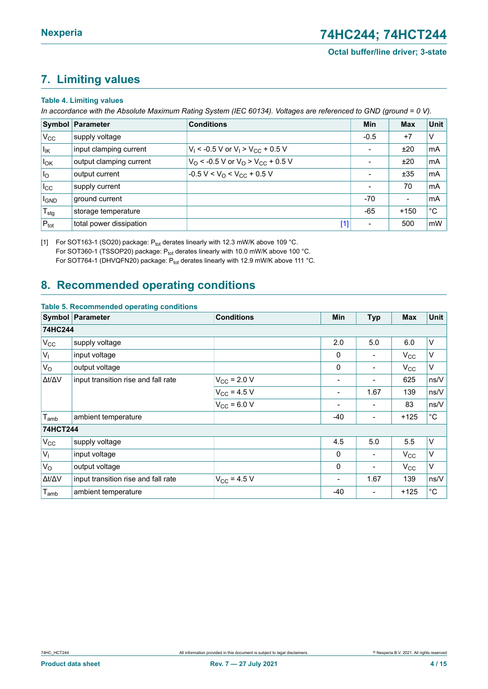### <span id="page-3-2"></span><span id="page-3-0"></span>**7. Limiting values**

#### <span id="page-3-1"></span>**Table 4. Limiting values**

In accordance with the Absolute Maximum Rating System (IEC 60134). Voltages are referenced to GND (ground = 0 V).

|                                           | <b>Symbol Parameter</b> | <b>Conditions</b>                                               | Min                      | <b>Max</b>     | Unit        |
|-------------------------------------------|-------------------------|-----------------------------------------------------------------|--------------------------|----------------|-------------|
| $V_{CC}$                                  | supply voltage          |                                                                 | $-0.5$                   | $+7$           | $\vee$      |
| $I_{IK}$                                  | input clamping current  | $V_1$ < -0.5 V or $V_1$ > $V_{CC}$ + 0.5 V                      | $\overline{\phantom{a}}$ | ±20            | mA          |
| $I_{OK}$                                  | output clamping current | $V_{\Omega}$ < -0.5 V or $V_{\Omega}$ > $V_{\text{CC}}$ + 0.5 V | $\overline{\phantom{a}}$ | ±20            | mA          |
| I <sub>O</sub>                            | output current          | $-0.5 V < VO < VCC + 0.5 V$                                     | $\overline{\phantom{a}}$ | ±35            | mA          |
| $I_{\rm CC}$                              | supply current          |                                                                 | $\overline{\phantom{a}}$ | 70             | mA          |
| <b>I</b> GND                              | ground current          |                                                                 | $-70$                    | $\blacksquare$ | mA          |
| ${ }^{\shortmid }\mathsf{T}_{\text{stg}}$ | storage temperature     |                                                                 | $-65$                    | $+150$         | $^{\circ}C$ |
| $P_{\text{tot}}$                          | total power dissipation | $[1]$                                                           | $\blacksquare$           | 500            | mW          |

[1] For SOT163-1 (SO20) package:  $P_{\text{tot}}$  derates linearly with 12.3 mW/K above 109 °C. For SOT360-1 (TSSOP20) package:  $P_{\text{tot}}$  derates linearly with 10.0 mW/K above 100 °C. For SOT764-1 (DHVQFN20) package:  $P_{tot}$  derates linearly with 12.9 mW/K above 111 °C.

### <span id="page-3-3"></span>**8. Recommended operating conditions**

|                     | Table 5. Recommended operating conditions |                   |                |                              |              |                   |
|---------------------|-------------------------------------------|-------------------|----------------|------------------------------|--------------|-------------------|
|                     | Symbol Parameter                          | <b>Conditions</b> | <b>Min</b>     | <b>Typ</b>                   | <b>Max</b>   | Unit              |
| 74HC244             |                                           |                   |                |                              |              |                   |
| $V_{CC}$            | supply voltage                            |                   | 2.0            | 5.0                          | 6.0          | V                 |
| $V_{\parallel}$     | input voltage                             |                   | 0              |                              | $V_{\rm CC}$ | V                 |
| $V_{\rm O}$         | output voltage                            |                   | 0              |                              | $V_{\rm CC}$ | V                 |
| Δt/ΔV               | input transition rise and fall rate       | $V_{CC}$ = 2.0 V  |                | $\overline{\phantom{0}}$     | 625          | ns/V              |
|                     |                                           | $V_{CC}$ = 4.5 V  |                | 1.67                         | 139          | ns/V              |
|                     |                                           | $V_{CC}$ = 6.0 V  | $\blacksquare$ | $\qquad \qquad \blacksquare$ | 83           | ns/V              |
| $T_{amb}$           | ambient temperature                       |                   | $-40$          | -                            | $+125$       | $^\circ \text{C}$ |
| <b>74HCT244</b>     |                                           |                   |                |                              |              |                   |
| $V_{CC}$            | supply voltage                            |                   | 4.5            | 5.0                          | 5.5          | Λ                 |
| $V_{I}$             | input voltage                             |                   | $\mathbf{0}$   | $\overline{\phantom{a}}$     | $V_{\rm CC}$ | V                 |
| $V_{\rm O}$         | output voltage                            |                   | $\mathbf 0$    |                              | $V_{\rm CC}$ | V                 |
| $\Delta t/\Delta V$ | input transition rise and fall rate       | $V_{CC}$ = 4.5 V  |                | 1.67                         | 139          | ns/V              |
| $T_{amb}$           | ambient temperature                       |                   | $-40$          | $\overline{\phantom{0}}$     | $+125$       | $^\circ \text{C}$ |

#### **Table 5. Recommended operating conditions**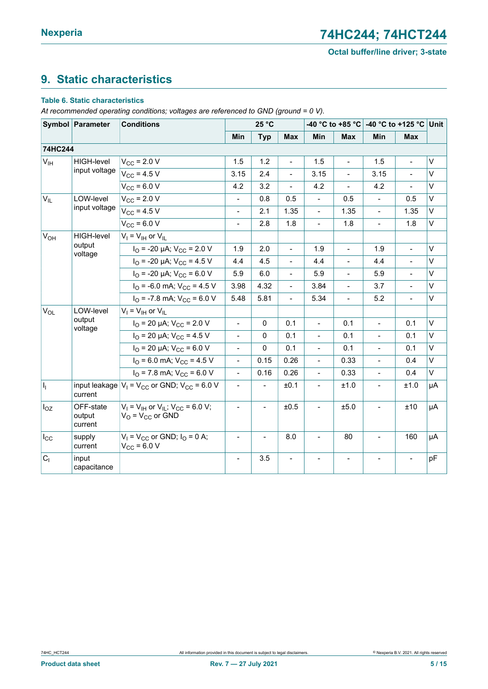# <span id="page-4-0"></span>**9. Static characteristics**

#### **Table 6. Static characteristics**

*At recommended operating conditions; voltages are referenced to GND (ground = 0 V).*

|                       | Symbol Parameter               | <b>Conditions</b>                                                        |                          | 25 °C                    |                          |                          |                              | -40 °C to +85 °C -40 °C to +125 °C Unit |                          |              |
|-----------------------|--------------------------------|--------------------------------------------------------------------------|--------------------------|--------------------------|--------------------------|--------------------------|------------------------------|-----------------------------------------|--------------------------|--------------|
|                       |                                |                                                                          | Min                      | <b>Typ</b>               | <b>Max</b>               | Min                      | <b>Max</b>                   | Min                                     | <b>Max</b>               |              |
| 74HC244               |                                |                                                                          |                          |                          |                          |                          |                              |                                         |                          |              |
| $V_{\text{IH}}$       | <b>HIGH-level</b>              | $V_{CC}$ = 2.0 V                                                         | 1.5                      | 1.2                      | $\overline{\phantom{0}}$ | 1.5                      | $\overline{\phantom{0}}$     | 1.5                                     | $\overline{\phantom{a}}$ | V            |
|                       | input voltage                  | $V_{CC}$ = 4.5 V                                                         | 3.15                     | 2.4                      |                          | 3.15                     | $\overline{a}$               | 3.15                                    |                          | V            |
|                       |                                | $V_{CC}$ = 6.0 V                                                         | 4.2                      | 3.2                      | $\blacksquare$           | 4.2                      | $\blacksquare$               | 4.2                                     | $\blacksquare$           | V            |
| $V_{\parallel L}$     | LOW-level                      | $V_{CC}$ = 2.0 V                                                         |                          | 0.8                      | 0.5                      | $\blacksquare$           | 0.5                          | $\overline{\phantom{a}}$                | 0.5                      | $\vee$       |
|                       | input voltage                  | $V_{CC}$ = 4.5 V                                                         | $\blacksquare$           | 2.1                      | 1.35                     | $\Box$                   | 1.35                         | $\blacksquare$                          | 1.35                     | $\mathsf{V}$ |
|                       |                                | $V_{CC}$ = 6.0 V                                                         | $\qquad \qquad -$        | 2.8                      | 1.8                      | $\blacksquare$           | 1.8                          | $\blacksquare$                          | 1.8                      | V            |
| <b>V<sub>OH</sub></b> | <b>HIGH-level</b>              | $V_I = V_{IH}$ or $V_{IL}$                                               |                          |                          |                          |                          |                              |                                         |                          |              |
|                       | output<br>voltage              | $I_{\text{O}}$ = -20 µA; $V_{\text{CC}}$ = 2.0 V                         | 1.9                      | 2.0                      | $\blacksquare$           | 1.9                      | $\blacksquare$               | 1.9                                     | $\blacksquare$           | $\vee$       |
|                       |                                | $I_{\text{O}}$ = -20 µA; $V_{\text{CC}}$ = 4.5 V                         | 4.4                      | 4.5                      | $\blacksquare$           | 4.4                      | $\qquad \qquad \blacksquare$ | 4.4                                     | $\overline{\phantom{a}}$ | V            |
|                       |                                | $I_{\text{O}}$ = -20 µA; $V_{\text{CC}}$ = 6.0 V                         | 5.9                      | 6.0                      | $\overline{\phantom{0}}$ | 5.9                      | $\overline{a}$               | 5.9                                     |                          | $\vee$       |
|                       |                                | $I_{\text{O}}$ = -6.0 mA; $V_{\text{CC}}$ = 4.5 V                        | 3.98                     | 4.32                     | $\blacksquare$           | 3.84                     | $\overline{\phantom{a}}$     | 3.7                                     | $\blacksquare$           | V            |
|                       |                                | $I_{\text{O}}$ = -7.8 mA; $V_{\text{CC}}$ = 6.0 V                        | 5.48                     | 5.81                     | $\overline{\phantom{0}}$ | 5.34                     | $\frac{1}{2}$                | 5.2                                     | $\overline{\phantom{a}}$ | V            |
| $V_{OL}$              | LOW-level                      | $V_1 = V_{1H}$ or $V_{II}$                                               |                          |                          |                          |                          |                              |                                         |                          |              |
|                       | output<br>voltage              | $I_{\text{O}}$ = 20 µA; $V_{\text{CC}}$ = 2.0 V                          | $\frac{1}{2}$            | $\Omega$                 | 0.1                      | $\blacksquare$           | 0.1                          | $\overline{\phantom{a}}$                | 0.1                      | V            |
|                       |                                | $I_{\text{O}}$ = 20 µA; $V_{\text{CC}}$ = 4.5 V                          | $\frac{1}{2}$            | $\Omega$                 | 0.1                      | $\blacksquare$           | 0.1                          | $\overline{\phantom{a}}$                | 0.1                      | V            |
|                       |                                | $I_{\text{O}}$ = 20 µA; $V_{\text{CC}}$ = 6.0 V                          | $\blacksquare$           | $\Omega$                 | 0.1                      | $\blacksquare$           | 0.1                          | $\blacksquare$                          | 0.1                      | V            |
|                       |                                | $I_{\text{O}}$ = 6.0 mA; $V_{\text{CC}}$ = 4.5 V                         | $\blacksquare$           | 0.15                     | 0.26                     | $\blacksquare$           | 0.33                         | $\overline{\phantom{a}}$                | 0.4                      | V            |
|                       |                                | $IO$ = 7.8 mA; $VCC$ = 6.0 V                                             | $\overline{a}$           | 0.16                     | 0.26                     | $\blacksquare$           | 0.33                         | $\blacksquare$                          | 0.4                      | $\vee$       |
| h.                    | current                        | input leakage $ V_1 = V_{CC}$ or GND; $V_{CC} = 6.0$ V                   | $\overline{\phantom{a}}$ | $\overline{\phantom{a}}$ | ±0.1                     | $\overline{\phantom{a}}$ | ±1.0                         | $\overline{\phantom{a}}$                | ±1.0                     | μA           |
| $I_{OZ}$              | OFF-state<br>output<br>current | $V_1 = V_{1H}$ or $V_{1L}$ ; $V_{CC} = 6.0 V$ ;<br>$V_O = V_{CC}$ or GND | $\blacksquare$           |                          | ±0.5                     |                          | ±5.0                         |                                         | ±10                      | μA           |
| $I_{\rm CC}$          | supply<br>current              | $V_1 = V_{CC}$ or GND; $I_0 = 0$ A;<br>$V_{CC}$ = 6.0 V                  | $\qquad \qquad -$        | $\overline{\phantom{a}}$ | 8.0                      | $\overline{\phantom{a}}$ | 80                           | $\overline{\phantom{a}}$                | 160                      | μA           |
| C <sub>1</sub>        | input<br>capacitance           |                                                                          | $\overline{\phantom{a}}$ | 3.5                      |                          |                          |                              |                                         | $\blacksquare$           | pF           |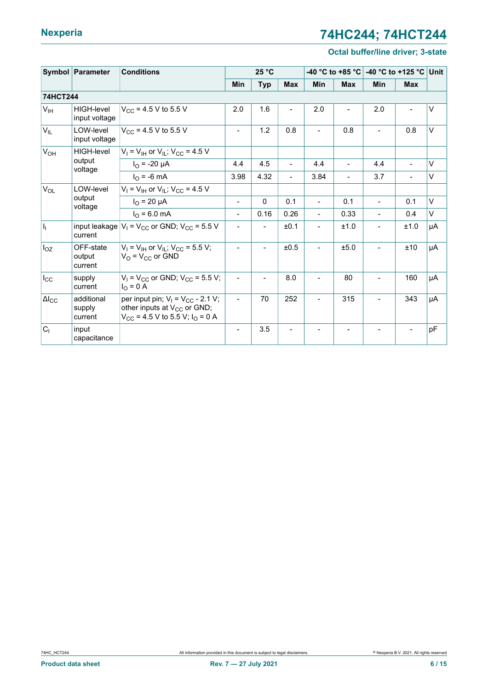# **Nexperia 74HC244; 74HCT244**

#### **Octal buffer/line driver; 3-state**

|                       | Symbol Parameter                | 25 °C<br><b>Conditions</b>                                                                                                     |                          |              | -40 °C to +85 °C         | -40 °C to +125 °C Unit       |                          |                          |                          |        |
|-----------------------|---------------------------------|--------------------------------------------------------------------------------------------------------------------------------|--------------------------|--------------|--------------------------|------------------------------|--------------------------|--------------------------|--------------------------|--------|
|                       |                                 |                                                                                                                                | Min                      | <b>Typ</b>   | <b>Max</b>               | Min                          | <b>Max</b>               | Min                      | <b>Max</b>               |        |
| 74HCT244              |                                 |                                                                                                                                |                          |              |                          |                              |                          |                          |                          |        |
| $V_{\text{IH}}$       | HIGH-level<br>input voltage     | $V_{CC}$ = 4.5 V to 5.5 V                                                                                                      | 2.0                      | 1.6          | $\blacksquare$           | 2.0                          |                          | 2.0                      |                          | V      |
| $V_{IL}$              | LOW-level<br>input voltage      | $V_{CC}$ = 4.5 V to 5.5 V                                                                                                      | $\overline{\phantom{a}}$ | 1.2          | 0.8                      |                              | 0.8                      |                          | 0.8                      | $\vee$ |
| V <sub>OH</sub>       | <b>HIGH-level</b>               | $V_1$ = $V_{\text{IH}}$ or $V_{\text{IL}}$ ; $V_{\text{CC}}$ = 4.5 V                                                           |                          |              |                          |                              |                          |                          |                          |        |
|                       | output<br>voltage               | $I_{\Omega}$ = -20 µA                                                                                                          | 4.4                      | 4.5          | $\blacksquare$           | 4.4                          | $\overline{\phantom{a}}$ | 4.4                      | $\overline{\phantom{a}}$ | $\vee$ |
|                       |                                 | $I_{\Omega}$ = -6 mA                                                                                                           | 3.98                     | 4.32         | $\blacksquare$           | 3.84                         | $\overline{\phantom{a}}$ | 3.7                      | $\blacksquare$           | V      |
| <b>V<sub>OL</sub></b> | LOW-level                       | $V_1 = V_{1H}$ or $V_{1L}$ ; $V_{CC} = 4.5$ V                                                                                  |                          |              |                          |                              |                          |                          |                          |        |
|                       | output<br>voltage               | $I_{\Omega}$ = 20 µA                                                                                                           | $\blacksquare$           | $\mathbf{0}$ | 0.1                      | $\blacksquare$               | 0.1                      | $\blacksquare$           | 0.1                      | $\vee$ |
|                       |                                 | $I_{\rm O}$ = 6.0 mA                                                                                                           | $\blacksquare$           | 0.16         | 0.26                     | $\blacksquare$               | 0.33                     |                          | 0.4                      | V      |
| $I_1$                 | current                         | input leakage $ V_1 = V_{CC}$ or GND; $V_{CC} = 5.5$ V                                                                         | $\blacksquare$           |              | ±0.1                     |                              | ±1.0                     |                          | ±1.0                     | μA     |
| $I_{OZ}$              | OFF-state<br>output<br>current  | $V_I = V_{IH}$ or $V_{IL}$ ; $V_{CC} = 5.5$ V;<br>$V_O = V_{CC}$ or GND                                                        |                          |              | ±0.5                     | $\overline{\phantom{0}}$     | ±5.0                     | $\blacksquare$           | ±10                      | μA     |
| $I_{\rm CC}$          | supply<br>current               | $V_1$ = $V_{CC}$ or GND; $V_{CC}$ = 5.5 V;<br>$I_{\rm O} = 0$ A                                                                | $\blacksquare$           |              | 8.0                      | $\overline{\phantom{0}}$     | 80                       | $\blacksquare$           | 160                      | μA     |
| $\Delta I_{\rm CC}$   | additional<br>supply<br>current | per input pin; $V_1 = V_{CC} - 2.1 V$ ;<br>other inputs at V <sub>CC</sub> or GND;<br>$V_{CC}$ = 4.5 V to 5.5 V; $I_{O}$ = 0 A | $\overline{\phantom{a}}$ | 70           | 252                      | $\overline{\phantom{0}}$     | 315                      | $\overline{\phantom{a}}$ | 343                      | μA     |
| C <sub>1</sub>        | input<br>capacitance            |                                                                                                                                | $\overline{\phantom{a}}$ | 3.5          | $\overline{\phantom{a}}$ | $\qquad \qquad \blacksquare$ |                          |                          | $\blacksquare$           | pF     |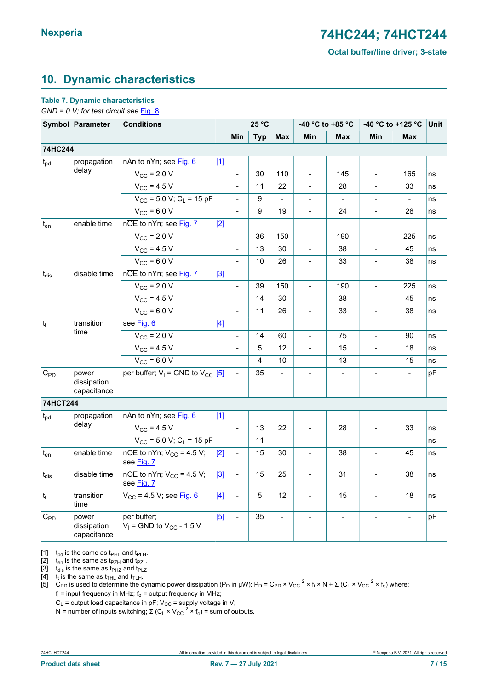# <span id="page-6-1"></span><span id="page-6-0"></span>**10. Dynamic characteristics**

#### **Table 7. Dynamic characteristics**

*GND = 0 V; for test circuit see [Fig. 8](#page-8-0).* 

|                   | Symbol Parameter                    | <b>Conditions</b>                                                             |                          | 25 °C          |                |                          | -40 °C to +85 °C         | -40 °C to +125 °C            |                | Unit |
|-------------------|-------------------------------------|-------------------------------------------------------------------------------|--------------------------|----------------|----------------|--------------------------|--------------------------|------------------------------|----------------|------|
|                   |                                     |                                                                               | Min                      | <b>Typ</b>     | Max            | Min                      | Max                      | Min                          | Max            |      |
| 74HC244           |                                     |                                                                               |                          |                |                |                          |                          |                              |                |      |
| $t_{pd}$          | propagation                         | nAn to nYn; see Fig. 6<br>$[1]$                                               |                          |                |                |                          |                          |                              |                |      |
|                   | delay                               | $V_{\text{CC}}$ = 2.0 V                                                       | $\overline{\phantom{a}}$ | 30             | 110            | $\overline{\phantom{0}}$ | 145                      | $\overline{\phantom{0}}$     | 165            | ns   |
|                   |                                     | $V_{CC}$ = 4.5 V                                                              | $\blacksquare$           | 11             | 22             | $\blacksquare$           | 28                       | $\qquad \qquad \blacksquare$ | 33             | ns   |
|                   |                                     | $V_{CC}$ = 5.0 V; C <sub>L</sub> = 15 pF                                      | $\blacksquare$           | 9              | $\frac{1}{2}$  | $\frac{1}{2}$            | $\blacksquare$           | $\overline{\phantom{0}}$     | $\blacksquare$ | ns   |
|                   |                                     | $V_{CC}$ = 6.0 V                                                              | $\blacksquare$           | 9              | 19             | $\overline{\phantom{a}}$ | 24                       | $\overline{a}$               | 28             | ns   |
| $t_{en}$          | enable time                         | nOE to nYn; see Fig. 7<br>$[2]$                                               |                          |                |                |                          |                          |                              |                |      |
|                   |                                     | $V_{\rm CC}$ = 2.0 V                                                          | $\blacksquare$           | 36             | 150            | $\frac{1}{2}$            | 190                      | $\overline{a}$               | 225            | ns   |
|                   |                                     | $V_{CC}$ = 4.5 V                                                              | $\blacksquare$           | 13             | 30             | $\overline{\phantom{a}}$ | 38                       | $\qquad \qquad \blacksquare$ | 45             | ns   |
|                   |                                     | $V_{CC} = 6.0 V$                                                              | $\overline{\phantom{a}}$ | 10             | 26             | $\frac{1}{2}$            | 33                       | $\overline{\phantom{0}}$     | 38             | ns   |
| $t_{dis}$         | disable time                        | nOE to nYn; see Fig. 7<br>$[3]$                                               |                          |                |                |                          |                          |                              |                |      |
|                   |                                     | $V_{\text{CC}}$ = 2.0 V                                                       | $\overline{a}$           | 39             | 150            |                          | 190                      |                              | 225            | ns   |
|                   |                                     | $V_{CC}$ = 4.5 V                                                              | $\frac{1}{2}$            | 14             | 30             | $\frac{1}{2}$            | 38                       | $\overline{\phantom{0}}$     | 45             | ns   |
|                   |                                     | $V_{CC}$ = 6.0 V                                                              | $\blacksquare$           | 11             | 26             | $\overline{a}$           | 33                       | $\overline{a}$               | 38             | ns   |
| $ t_t $           | transition                          | see Fig. 6<br>$[4]$                                                           |                          |                |                |                          |                          |                              |                |      |
|                   | time                                | $V_{\rm CC}$ = 2.0 V                                                          | $\blacksquare$           | 14             | 60             | $\overline{a}$           | 75                       | $\overline{a}$               | 90             | ns   |
|                   |                                     | $V_{CC}$ = 4.5 V                                                              | $\overline{a}$           | 5              | 12             | $\overline{a}$           | 15                       |                              | 18             | ns   |
|                   |                                     | $V_{CC}$ = 6.0 V                                                              | $\blacksquare$           | $\overline{4}$ | 10             | $\blacksquare$           | 13                       | $\qquad \qquad \blacksquare$ | 15             | ns   |
| $C_{\mathsf{PD}}$ | power<br>dissipation<br>capacitance | per buffer; $V_1$ = GND to $V_{CC}$ [5]                                       | $\overline{\phantom{a}}$ | 35             | $\blacksquare$ | $\blacksquare$           | $\overline{\phantom{a}}$ | $\overline{\phantom{a}}$     | $\blacksquare$ | рF   |
| 74HCT244          |                                     |                                                                               |                          |                |                |                          |                          |                              |                |      |
| $t_{pd}$          | propagation                         | nAn to nYn; see Fig. 6<br>[1]                                                 |                          |                |                |                          |                          |                              |                |      |
|                   | delay                               | $V_{\rm CC}$ = 4.5 V                                                          | $\blacksquare$           | 13             | 22             | $\blacksquare$           | 28                       | $\qquad \qquad \blacksquare$ | 33             | ns   |
|                   |                                     | $V_{CC}$ = 5.0 V; C <sub>L</sub> = 15 pF                                      | $\blacksquare$           | 11             | $\blacksquare$ |                          |                          |                              | $\blacksquare$ | ns   |
| $t_{en}$          | enable time                         | $n\overline{OE}$ to nYn; $V_{CC}$ = 4.5 V;<br>[2]<br>see Fig. 7               | $\overline{\phantom{a}}$ | 15             | 30             | $\blacksquare$           | 38                       | $\overline{\phantom{0}}$     | 45             | ns   |
| $t_{dis}$         | disable time                        | $n\overline{OE}$ to nYn; $V_{CC}$ = 4.5 V;<br>$\lceil 3 \rceil$<br>see Fig. 7 | $\blacksquare$           | 15             | 25             | $\blacksquare$           | 31                       | $\frac{1}{2}$                | 38             | ns   |
| $t_t$             | transition<br>time                  | $V_{CC}$ = 4.5 V; see $Fig. 6$<br>$[4]$                                       | $\blacksquare$           | 5              | 12             | $\overline{a}$           | 15                       | $\overline{a}$               | 18             | ns   |
| $C_{PD}$          | power<br>dissipation<br>capacitance | per buffer;<br>$[5]$<br>$V_1$ = GND to $V_{CC}$ - 1.5 V                       | $\blacksquare$           | 35             | $\overline{a}$ |                          |                          |                              |                | pF   |

[1]  $t_{pd}$  is the same as  $t_{PHL}$  and  $t_{PLH}$ .

[2]  $t_{en}$  is the same as  $t_{PZH}$  and  $t_{PZL}$ .<br>[3]  $t_{dis}$  is the same as  $t_{PHZ}$  and  $t_{PLZ}$ .

 $t_{dis}$  is the same as  $t_{PHZ}$  and  $t_{PLZ}$ .

[4]  $t_t$  is the same as  $t_{\text{THL}}$  and  $t_{\text{TLH}}$ .

 $[5]$  C<sub>PD</sub> is used to determine the dynamic power dissipation (P<sub>D</sub> in μW): P<sub>D</sub> = C<sub>PD</sub> × V<sub>CC</sub><sup>2</sup> × f<sub>i</sub> × N + Σ (C<sub>L</sub> × V<sub>CC</sub><sup>2</sup> × f<sub>o</sub>) where:  $\mathsf{f}_\mathsf{i}$  = input frequency in MHz;  $\mathsf{f}_\mathsf{o}$  = output frequency in MHz;

 $C_{L}$  = output load capacitance in pF; V $_{\rm CC}$  = supply voltage in V;

N = number of inputs switching; Σ (C<sub>L</sub> × V<sub>CC</sub>  $^2$  × f<sub>o</sub>) = sum of outputs.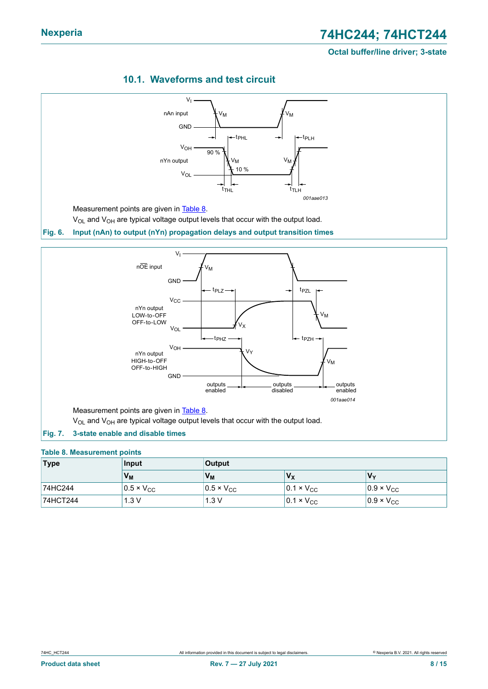<span id="page-7-1"></span><span id="page-7-0"></span>

### <span id="page-7-3"></span>**10.1. Waveforms and test circuit**

#### <span id="page-7-2"></span>**Table 8. Measurement points**

| <b>Type</b> | Input               | <b>Output</b>       |                       |                     |  |
|-------------|---------------------|---------------------|-----------------------|---------------------|--|
|             | $V_M$               | $V_{M}$             | $V_{\rm X}$           | $V_{v}$             |  |
| 74HC244     | $0.5 \times V_{CC}$ | $0.5 \times V_{CC}$ | $ 0.1 \times V_{CC} $ | $0.9 \times V_{CC}$ |  |
| 74HCT244    | 1.3V                | 1.3V                | $0.1 \times V_{CC}$   | $0.9 \times V_{CC}$ |  |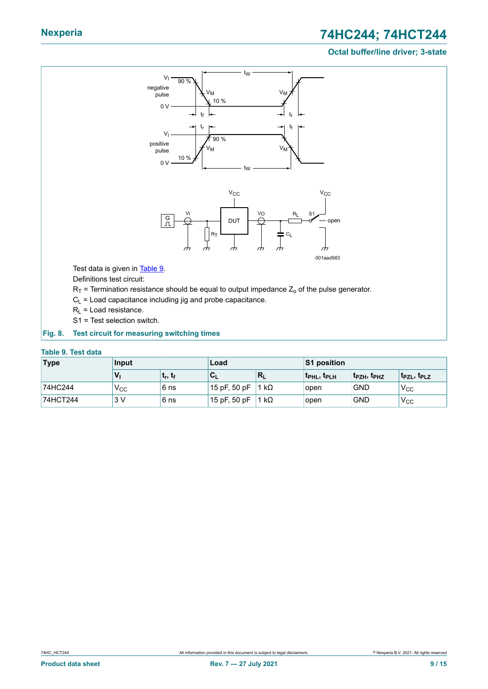# **Nexperia 74HC244; 74HCT244**

#### **Octal buffer/line driver; 3-state**

<span id="page-8-0"></span>

#### <span id="page-8-1"></span>**Fig. 8. Test circuit for measuring switching times**

#### **Table 9. Test data**

| <b>Type</b> | Input    |                                 | Load                        |                 | <b>S1 position</b> |                        |                   |
|-------------|----------|---------------------------------|-----------------------------|-----------------|--------------------|------------------------|-------------------|
|             |          | ւ <sub>r</sub> , ւ <sub>f</sub> | ◡                           | ≀R <sub>L</sub> | <b>IPHL, IPLH</b>  | երշн, <sup>լ</sup> թнշ | <b>TPZL, TPLZ</b> |
| 74HC244     | $V_{CC}$ | 6 ns                            | 15 pF, 50 pF   1 kΩ         |                 | open               | <b>GND</b>             | 'V <sub>CC</sub>  |
| 74HCT244    | 3V       | 6 ns                            | $15$ pF, 50 pF $\vert$ 1 kΩ |                 | open               | <b>GND</b>             | V <sub>CC</sub>   |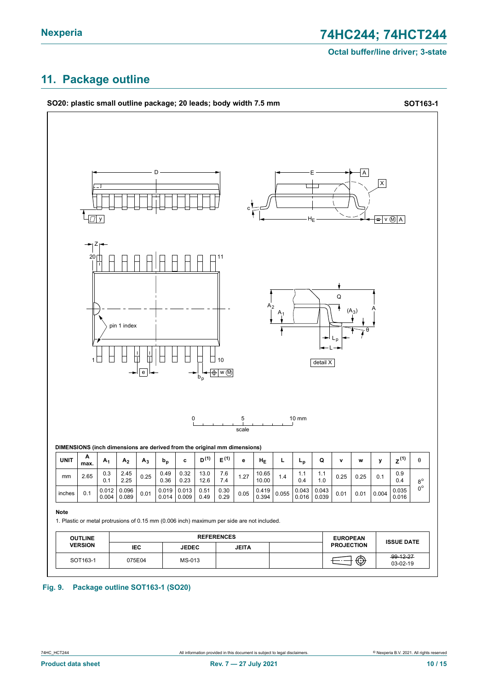### <span id="page-9-0"></span>**11. Package outline**



#### **Fig. 9. Package outline SOT163-1 (SO20)**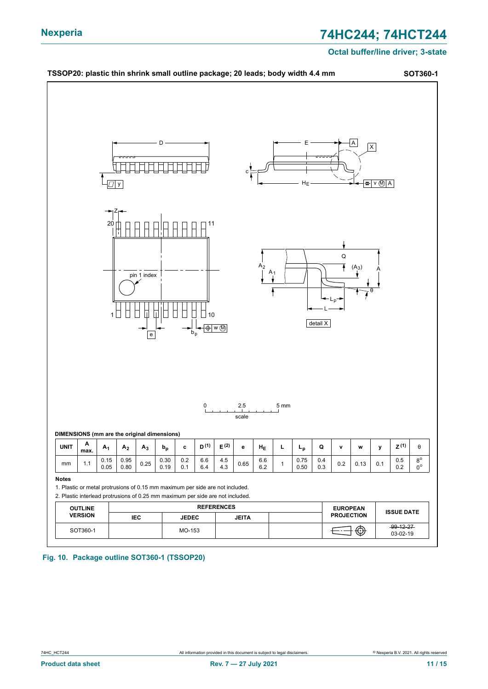

**Fig. 10. Package outline SOT360-1 (TSSOP20)**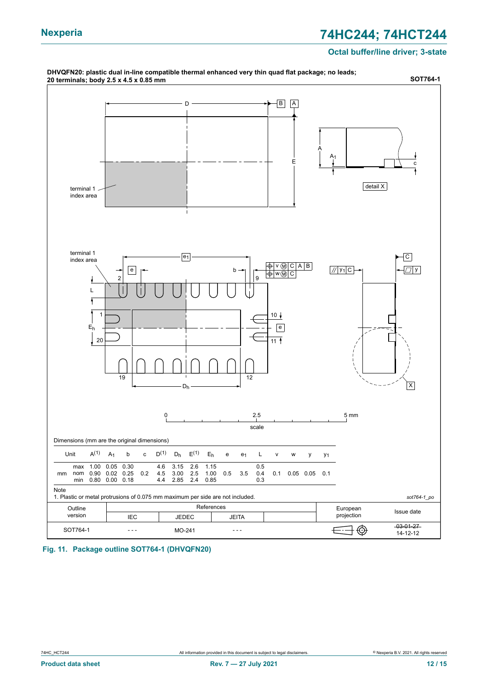# **Nexperia 74HC244; 74HCT244**

#### **Octal buffer/line driver; 3-state**



**Fig. 11. Package outline SOT764-1 (DHVQFN20)**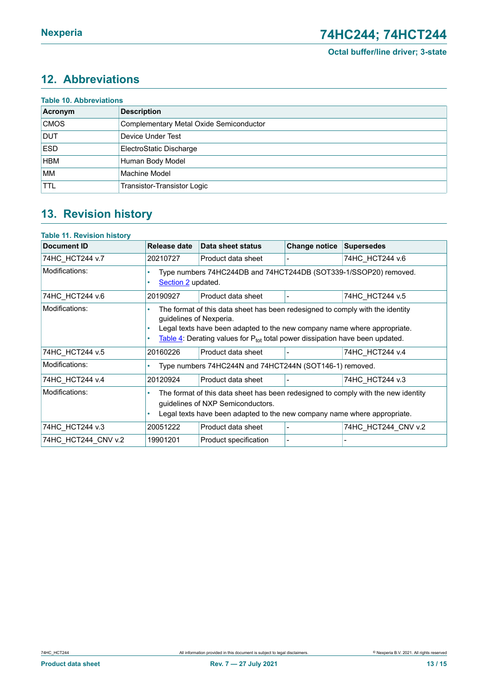# <span id="page-12-0"></span>**12. Abbreviations**

| Acronym     | <b>Description</b>                             |
|-------------|------------------------------------------------|
| <b>CMOS</b> | <b>Complementary Metal Oxide Semiconductor</b> |
| <b>DUT</b>  | Device Under Test                              |
| <b>ESD</b>  | ElectroStatic Discharge                        |
| <b>HBM</b>  | Human Body Model                               |
| <b>MM</b>   | Machine Model                                  |
| <b>TTL</b>  | Transistor-Transistor Logic                    |

# <span id="page-12-1"></span>**13. Revision history**

| Table 11. Revision history |                                                                                                                                                                                                    |                                                                                                                                                                                                                                                |                      |                     |  |  |  |
|----------------------------|----------------------------------------------------------------------------------------------------------------------------------------------------------------------------------------------------|------------------------------------------------------------------------------------------------------------------------------------------------------------------------------------------------------------------------------------------------|----------------------|---------------------|--|--|--|
| <b>Document ID</b>         | Release date                                                                                                                                                                                       | Data sheet status                                                                                                                                                                                                                              | <b>Change notice</b> | <b>Supersedes</b>   |  |  |  |
| 74HC_HCT244 v.7            | 20210727                                                                                                                                                                                           | Product data sheet                                                                                                                                                                                                                             |                      | 74HC HCT244 v.6     |  |  |  |
| Modifications:             | Type numbers 74HC244DB and 74HCT244DB (SOT339-1/SSOP20) removed.<br>Section 2 updated.                                                                                                             |                                                                                                                                                                                                                                                |                      |                     |  |  |  |
| 74HC HCT244 v.6            | 20190927                                                                                                                                                                                           | Product data sheet                                                                                                                                                                                                                             |                      | 74HC HCT244 v.5     |  |  |  |
| Modifications:             | guidelines of Nexperia.                                                                                                                                                                            | The format of this data sheet has been redesigned to comply with the identity<br>Legal texts have been adapted to the new company name where appropriate.<br>Table 4: Derating values for $P_{tot}$ total power dissipation have been updated. |                      |                     |  |  |  |
| 74HC HCT244 v.5            | 20160226                                                                                                                                                                                           | Product data sheet                                                                                                                                                                                                                             |                      | 74HC HCT244 v.4     |  |  |  |
| Modifications:             |                                                                                                                                                                                                    | Type numbers 74HC244N and 74HCT244N (SOT146-1) removed.                                                                                                                                                                                        |                      |                     |  |  |  |
| 74HC_HCT244 v.4            | 20120924                                                                                                                                                                                           | Product data sheet                                                                                                                                                                                                                             |                      | 74HC HCT244 v.3     |  |  |  |
| Modifications:             | The format of this data sheet has been redesigned to comply with the new identity<br>guidelines of NXP Semiconductors.<br>Legal texts have been adapted to the new company name where appropriate. |                                                                                                                                                                                                                                                |                      |                     |  |  |  |
| 74HC HCT244 v.3            | 20051222                                                                                                                                                                                           | Product data sheet                                                                                                                                                                                                                             |                      | 74HC_HCT244_CNV v.2 |  |  |  |
| 74HC HCT244 CNV v.2        | 19901201                                                                                                                                                                                           | Product specification                                                                                                                                                                                                                          |                      |                     |  |  |  |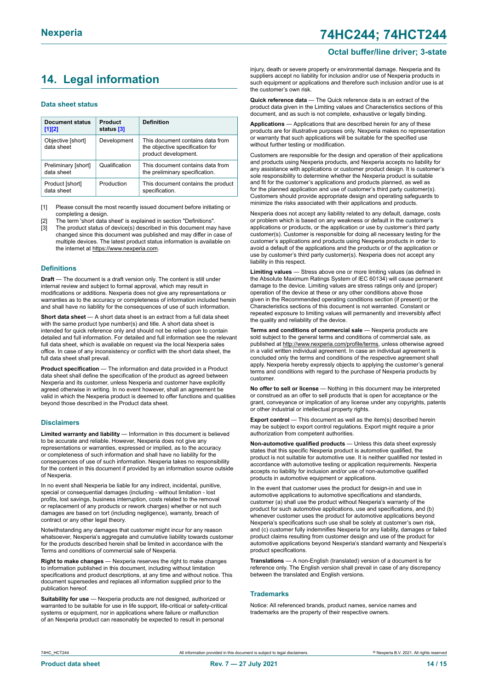# <span id="page-13-0"></span>**14. Legal information**

#### **Data sheet status**

| Document status<br>$[1]$ [2]      | Product<br>status [3] | <b>Definition</b>                                                                           |
|-----------------------------------|-----------------------|---------------------------------------------------------------------------------------------|
| Objective [short]<br>data sheet   | Development           | This document contains data from<br>the objective specification for<br>product development. |
| Preliminary [short]<br>data sheet | Qualification         | This document contains data from<br>the preliminary specification.                          |
| Product [short]<br>data sheet     | Production            | This document contains the product<br>specification.                                        |

[1] Please consult the most recently issued document before initiating or completing a design.

- The term 'short data sheet' is explained in section "Definitions".
- [3] The product status of device(s) described in this document may have changed since this document was published and may differ in case of multiple devices. The latest product status information is available on the internet at [https://www.nexperia.com.](https://www.nexperia.com)

#### **Definitions**

**Draft** — The document is a draft version only. The content is still under internal review and subject to formal approval, which may result in modifications or additions. Nexperia does not give any representations or warranties as to the accuracy or completeness of information included herein and shall have no liability for the consequences of use of such information.

**Short data sheet** — A short data sheet is an extract from a full data sheet with the same product type number(s) and title. A short data sheet is intended for quick reference only and should not be relied upon to contain detailed and full information. For detailed and full information see the relevant full data sheet, which is available on request via the local Nexperia sales office. In case of any inconsistency or conflict with the short data sheet, the full data sheet shall prevail.

**Product specification** — The information and data provided in a Product data sheet shall define the specification of the product as agreed between Nexperia and its customer, unless Nexperia and customer have explicitly agreed otherwise in writing. In no event however, shall an agreement be valid in which the Nexperia product is deemed to offer functions and qualities beyond those described in the Product data sheet.

#### **Disclaimers**

**Limited warranty and liability** — Information in this document is believed to be accurate and reliable. However, Nexperia does not give any representations or warranties, expressed or implied, as to the accuracy or completeness of such information and shall have no liability for the consequences of use of such information. Nexperia takes no responsibility for the content in this document if provided by an information source outside of Nexperia.

In no event shall Nexperia be liable for any indirect, incidental, punitive, special or consequential damages (including - without limitation - lost profits, lost savings, business interruption, costs related to the removal or replacement of any products or rework charges) whether or not such damages are based on tort (including negligence), warranty, breach of contract or any other legal theory.

Notwithstanding any damages that customer might incur for any reason whatsoever, Nexperia's aggregate and cumulative liability towards customer for the products described herein shall be limited in accordance with the Terms and conditions of commercial sale of Nexperia.

**Right to make changes** — Nexperia reserves the right to make changes to information published in this document, including without limitation specifications and product descriptions, at any time and without notice. This document supersedes and replaces all information supplied prior to the publication hereof.

**Suitability for use** — Nexperia products are not designed, authorized or warranted to be suitable for use in life support, life-critical or safety-critical systems or equipment, nor in applications where failure or malfunction of an Nexperia product can reasonably be expected to result in personal

#### **Octal buffer/line driver; 3-state**

injury, death or severe property or environmental damage. Nexperia and its suppliers accept no liability for inclusion and/or use of Nexperia products in such equipment or applications and therefore such inclusion and/or use is at the customer's own risk.

**Quick reference data** — The Quick reference data is an extract of the product data given in the Limiting values and Characteristics sections of this document, and as such is not complete, exhaustive or legally binding.

**Applications** — Applications that are described herein for any of these products are for illustrative purposes only. Nexperia makes no representation or warranty that such applications will be suitable for the specified use without further testing or modification.

Customers are responsible for the design and operation of their applications and products using Nexperia products, and Nexperia accepts no liability for any assistance with applications or customer product design. It is customer's sole responsibility to determine whether the Nexperia product is suitable and fit for the customer's applications and products planned, as well as for the planned application and use of customer's third party customer(s). Customers should provide appropriate design and operating safeguards to minimize the risks associated with their applications and products.

Nexperia does not accept any liability related to any default, damage, costs or problem which is based on any weakness or default in the customer's applications or products, or the application or use by customer's third party customer(s). Customer is responsible for doing all necessary testing for the customer's applications and products using Nexperia products in order to avoid a default of the applications and the products or of the application or use by customer's third party customer(s). Nexperia does not accept any liability in this respect.

**Limiting values** — Stress above one or more limiting values (as defined in the Absolute Maximum Ratings System of IEC 60134) will cause permanent damage to the device. Limiting values are stress ratings only and (proper) operation of the device at these or any other conditions above those given in the Recommended operating conditions section (if present) or the Characteristics sections of this document is not warranted. Constant or repeated exposure to limiting values will permanently and irreversibly affect the quality and reliability of the device.

**Terms and conditions of commercial sale** — Nexperia products are sold subject to the general terms and conditions of commercial sale, as published at [http://www.nexperia.com/profile/terms,](http://www.nexperia.com/profile/terms) unless otherwise agreed in a valid written individual agreement. In case an individual agreement is concluded only the terms and conditions of the respective agreement shall apply. Nexperia hereby expressly objects to applying the customer's general terms and conditions with regard to the purchase of Nexperia products by customer.

**No offer to sell or license** — Nothing in this document may be interpreted or construed as an offer to sell products that is open for acceptance or the grant, conveyance or implication of any license under any copyrights, patents or other industrial or intellectual property rights.

**Export control** — This document as well as the item(s) described herein may be subject to export control regulations. Export might require a prior authorization from competent authorities.

**Non-automotive qualified products** — Unless this data sheet expressly states that this specific Nexperia product is automotive qualified, the product is not suitable for automotive use. It is neither qualified nor tested in accordance with automotive testing or application requirements. Nexperia accepts no liability for inclusion and/or use of non-automotive qualified products in automotive equipment or applications.

In the event that customer uses the product for design-in and use in automotive applications to automotive specifications and standards, customer (a) shall use the product without Nexperia's warranty of the product for such automotive applications, use and specifications, and (b) whenever customer uses the product for automotive applications beyond Nexperia's specifications such use shall be solely at customer's own risk, and (c) customer fully indemnifies Nexperia for any liability, damages or failed product claims resulting from customer design and use of the product for automotive applications beyond Nexperia's standard warranty and Nexperia's product specifications.

**Translations** — A non-English (translated) version of a document is for reference only. The English version shall prevail in case of any discrepancy between the translated and English versions.

#### **Trademarks**

Notice: All referenced brands, product names, service names and trademarks are the property of their respective owners.